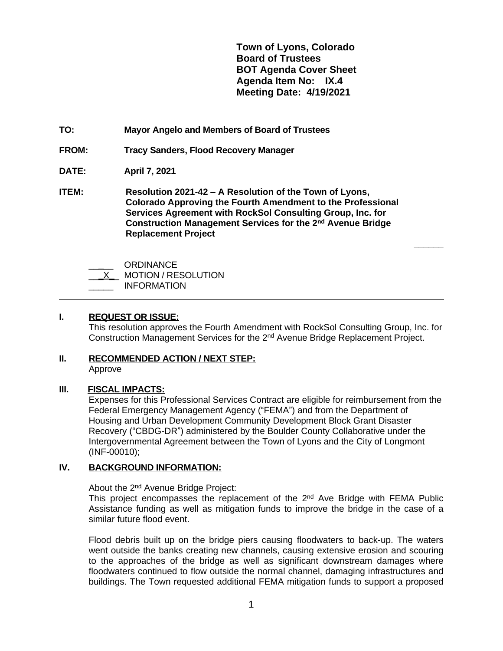**Town of Lyons, Colorado Board of Trustees BOT Agenda Cover Sheet Agenda Item No: IX.4 Meeting Date: 4/19/2021**

 **\_\_\_\_\_\_**

# **TO: Mayor Angelo and Members of Board of Trustees**

**FROM: Tracy Sanders, Flood Recovery Manager**

# **DATE: April 7, 2021**

**ITEM: Resolution 2021-42 – A Resolution of the Town of Lyons, Colorado Approving the Fourth Amendment to the Professional Services Agreement with RockSol Consulting Group, Inc. for Construction Management Services for the 2nd Avenue Bridge Replacement Project**

| ORDINANCE                  |
|----------------------------|
| <b>MOTION / RESOLUTION</b> |
| <b>INFORMATION</b>         |

### **I. REQUEST OR ISSUE:**

 $\overline{a}$ 

This resolution approves the Fourth Amendment with RockSol Consulting Group, Inc. for Construction Management Services for the 2nd Avenue Bridge Replacement Project.

#### **II. RECOMMENDED ACTION / NEXT STEP:** Approve

#### **III. FISCAL IMPACTS:**

Expenses for this Professional Services Contract are eligible for reimbursement from the Federal Emergency Management Agency ("FEMA") and from the Department of Housing and Urban Development Community Development Block Grant Disaster Recovery ("CBDG-DR") administered by the Boulder County Collaborative under the Intergovernmental Agreement between the Town of Lyons and the City of Longmont (INF-00010);

## **IV. BACKGROUND INFORMATION:**

#### About the 2<sup>nd</sup> Avenue Bridge Project:

This project encompasses the replacement of the 2<sup>nd</sup> Ave Bridge with FEMA Public Assistance funding as well as mitigation funds to improve the bridge in the case of a similar future flood event.

Flood debris built up on the bridge piers causing floodwaters to back-up. The waters went outside the banks creating new channels, causing extensive erosion and scouring to the approaches of the bridge as well as significant downstream damages where floodwaters continued to flow outside the normal channel, damaging infrastructures and buildings. The Town requested additional FEMA mitigation funds to support a proposed